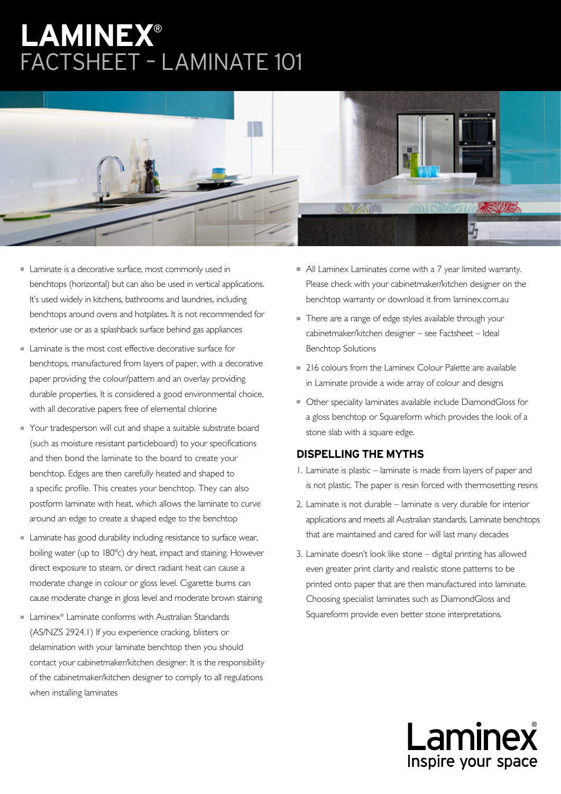# **LAMINEX**® FACTSHEET – LAMINATE 101



- Laminate is a decorative surface, most commonly used in benchtops (horizontal) but can also be used in vertical applications. It's used widely in kitchens, bathrooms and laundries, including benchtops around ovens and hotplates. It is not recommended for exterior use or as a splashback surface behind gas appliances
- Laminate is the most cost effective decorative surface for benchtops, manufactured from layers of paper, with a decorative paper providing the colour/pattern and an overlay providing durable properties. It is considered a good environmental choice, with all decorative papers free of elemental chlorine
- **Your tradesperson will cut and shape a suitable substrate board** (such as moisture resistant particleboard) to your specifications and then bond the laminate to the board to create your benchtop. Edges are then carefully heated and shaped to a specific profile. This creates your benchtop. They can also postform laminate with heat, which allows the laminate to curve around an edge to create a shaped edge to the benchtop
- **Laminate has good durability including resistance to surface wear,** boiling water (up to 180ºc) dry heat, impact and staining. However direct exposure to steam, or direct radiant heat can cause a moderate change in colour or gloss level. Cigarette burns can cause moderate change in gloss level and moderate brown staining
- Laminex® Laminate conforms with Australian Standards (AS/NZS 2924.1) If you experience cracking, blisters or delamination with your laminate benchtop then you should contact your cabinetmaker/kitchen designer. It is the responsibility of the cabinetmaker/kitchen designer to comply to all regulations when installing laminates
- All Laminex Laminates come with a 7 year limited warranty. Please check with your cabinetmaker/kitchen designer on the benchtop warranty or download it from laminex.com.au
- There are a range of edge styles available through your cabinetmaker/kitchen designer – see Factsheet – Ideal Benchtop Solutions
- **216 colours from the Laminex Colour Palette are available** in Laminate provide a wide array of colour and designs
- Other speciality laminates available include DiamondGloss for a gloss benchtop or Squareform which provides the look of a stone slab with a square edge.

## **DISPELLING THE MYTHS**

- 1. Laminate is plastic laminate is made from layers of paper and is not plastic. The paper is resin forced with thermosetting resins
- 2. Laminate is not durable laminate is very durable for interior applications and meets all Australian standards. Laminate benchtops that are maintained and cared for will last many decades
- 3. Laminate doesn't look like stone digital printing has allowed even greater print clarity and realistic stone patterns to be printed onto paper that are then manufactured into laminate. Choosing specialist laminates such as DiamondGloss and Squareform provide even better stone interpretations.